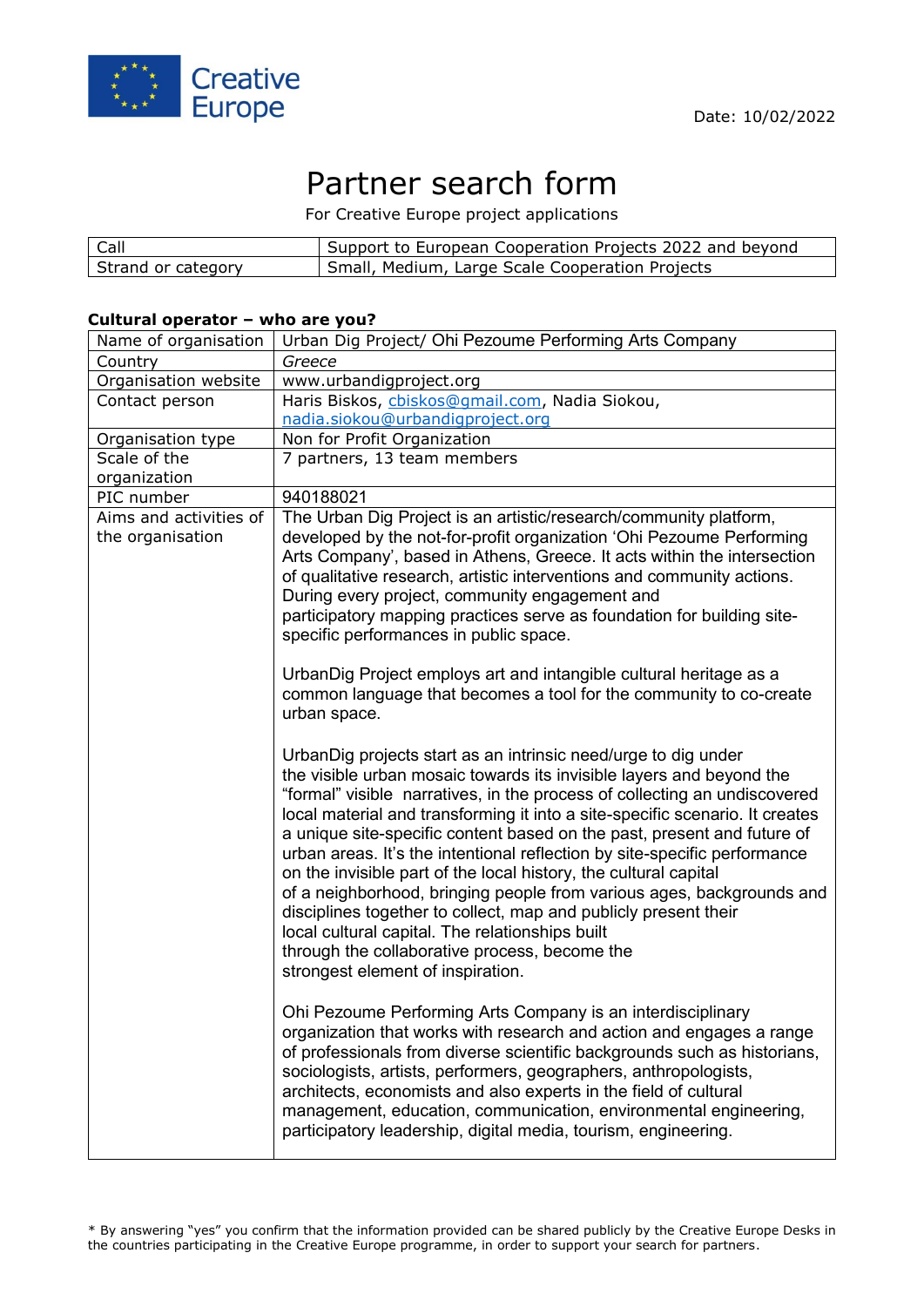

# Partner search form

For Creative Europe project applications

| Call               | Support to European Cooperation Projects 2022 and beyond |
|--------------------|----------------------------------------------------------|
| Strand or category | Small, Medium, Large Scale Cooperation Projects          |

# **Cultural operator – who are you?**

| Greece<br>Country<br>Organisation website<br>www.urbandigproject.org<br>Haris Biskos, chiskos@gmail.com, Nadia Siokou,<br>Contact person<br>nadia.siokou@urbandigproject.org<br>Non for Profit Organization<br>Organisation type<br>Scale of the<br>7 partners, 13 team members<br>organization<br>940188021<br>PIC number<br>The Urban Dig Project is an artistic/research/community platform,<br>Aims and activities of<br>developed by the not-for-profit organization 'Ohi Pezoume Performing<br>the organisation<br>Arts Company', based in Athens, Greece. It acts within the intersection<br>of qualitative research, artistic interventions and community actions.<br>During every project, community engagement and<br>participatory mapping practices serve as foundation for building site-<br>specific performances in public space.<br>UrbanDig Project employs art and intangible cultural heritage as a<br>common language that becomes a tool for the community to co-create<br>urban space.<br>UrbanDig projects start as an intrinsic need/urge to dig under<br>the visible urban mosaic towards its invisible layers and beyond the<br>"formal" visible narratives, in the process of collecting an undiscovered<br>local material and transforming it into a site-specific scenario. It creates<br>a unique site-specific content based on the past, present and future of<br>urban areas. It's the intentional reflection by site-specific performance<br>on the invisible part of the local history, the cultural capital<br>of a neighborhood, bringing people from various ages, backgrounds and<br>disciplines together to collect, map and publicly present their<br>local cultural capital. The relationships built<br>through the collaborative process, become the<br>strongest element of inspiration.<br>Ohi Pezoume Performing Arts Company is an interdisciplinary<br>organization that works with research and action and engages a range<br>of professionals from diverse scientific backgrounds such as historians,<br>sociologists, artists, performers, geographers, anthropologists,<br>architects, economists and also experts in the field of cultural<br>management, education, communication, environmental engineering,<br>participatory leadership, digital media, tourism, engineering. | Name of organisation | Urban Dig Project/ Ohi Pezoume Performing Arts Company |
|---------------------------------------------------------------------------------------------------------------------------------------------------------------------------------------------------------------------------------------------------------------------------------------------------------------------------------------------------------------------------------------------------------------------------------------------------------------------------------------------------------------------------------------------------------------------------------------------------------------------------------------------------------------------------------------------------------------------------------------------------------------------------------------------------------------------------------------------------------------------------------------------------------------------------------------------------------------------------------------------------------------------------------------------------------------------------------------------------------------------------------------------------------------------------------------------------------------------------------------------------------------------------------------------------------------------------------------------------------------------------------------------------------------------------------------------------------------------------------------------------------------------------------------------------------------------------------------------------------------------------------------------------------------------------------------------------------------------------------------------------------------------------------------------------------------------------------------------------------------------------------------------------------------------------------------------------------------------------------------------------------------------------------------------------------------------------------------------------------------------------------------------------------------------------------------------------------------------------------------------------------------------------------------------------------------------------------------|----------------------|--------------------------------------------------------|
|                                                                                                                                                                                                                                                                                                                                                                                                                                                                                                                                                                                                                                                                                                                                                                                                                                                                                                                                                                                                                                                                                                                                                                                                                                                                                                                                                                                                                                                                                                                                                                                                                                                                                                                                                                                                                                                                                                                                                                                                                                                                                                                                                                                                                                                                                                                                       |                      |                                                        |
|                                                                                                                                                                                                                                                                                                                                                                                                                                                                                                                                                                                                                                                                                                                                                                                                                                                                                                                                                                                                                                                                                                                                                                                                                                                                                                                                                                                                                                                                                                                                                                                                                                                                                                                                                                                                                                                                                                                                                                                                                                                                                                                                                                                                                                                                                                                                       |                      |                                                        |
|                                                                                                                                                                                                                                                                                                                                                                                                                                                                                                                                                                                                                                                                                                                                                                                                                                                                                                                                                                                                                                                                                                                                                                                                                                                                                                                                                                                                                                                                                                                                                                                                                                                                                                                                                                                                                                                                                                                                                                                                                                                                                                                                                                                                                                                                                                                                       |                      |                                                        |
|                                                                                                                                                                                                                                                                                                                                                                                                                                                                                                                                                                                                                                                                                                                                                                                                                                                                                                                                                                                                                                                                                                                                                                                                                                                                                                                                                                                                                                                                                                                                                                                                                                                                                                                                                                                                                                                                                                                                                                                                                                                                                                                                                                                                                                                                                                                                       |                      |                                                        |
|                                                                                                                                                                                                                                                                                                                                                                                                                                                                                                                                                                                                                                                                                                                                                                                                                                                                                                                                                                                                                                                                                                                                                                                                                                                                                                                                                                                                                                                                                                                                                                                                                                                                                                                                                                                                                                                                                                                                                                                                                                                                                                                                                                                                                                                                                                                                       |                      |                                                        |
|                                                                                                                                                                                                                                                                                                                                                                                                                                                                                                                                                                                                                                                                                                                                                                                                                                                                                                                                                                                                                                                                                                                                                                                                                                                                                                                                                                                                                                                                                                                                                                                                                                                                                                                                                                                                                                                                                                                                                                                                                                                                                                                                                                                                                                                                                                                                       |                      |                                                        |
|                                                                                                                                                                                                                                                                                                                                                                                                                                                                                                                                                                                                                                                                                                                                                                                                                                                                                                                                                                                                                                                                                                                                                                                                                                                                                                                                                                                                                                                                                                                                                                                                                                                                                                                                                                                                                                                                                                                                                                                                                                                                                                                                                                                                                                                                                                                                       |                      |                                                        |
|                                                                                                                                                                                                                                                                                                                                                                                                                                                                                                                                                                                                                                                                                                                                                                                                                                                                                                                                                                                                                                                                                                                                                                                                                                                                                                                                                                                                                                                                                                                                                                                                                                                                                                                                                                                                                                                                                                                                                                                                                                                                                                                                                                                                                                                                                                                                       |                      |                                                        |
|                                                                                                                                                                                                                                                                                                                                                                                                                                                                                                                                                                                                                                                                                                                                                                                                                                                                                                                                                                                                                                                                                                                                                                                                                                                                                                                                                                                                                                                                                                                                                                                                                                                                                                                                                                                                                                                                                                                                                                                                                                                                                                                                                                                                                                                                                                                                       |                      |                                                        |
|                                                                                                                                                                                                                                                                                                                                                                                                                                                                                                                                                                                                                                                                                                                                                                                                                                                                                                                                                                                                                                                                                                                                                                                                                                                                                                                                                                                                                                                                                                                                                                                                                                                                                                                                                                                                                                                                                                                                                                                                                                                                                                                                                                                                                                                                                                                                       |                      |                                                        |